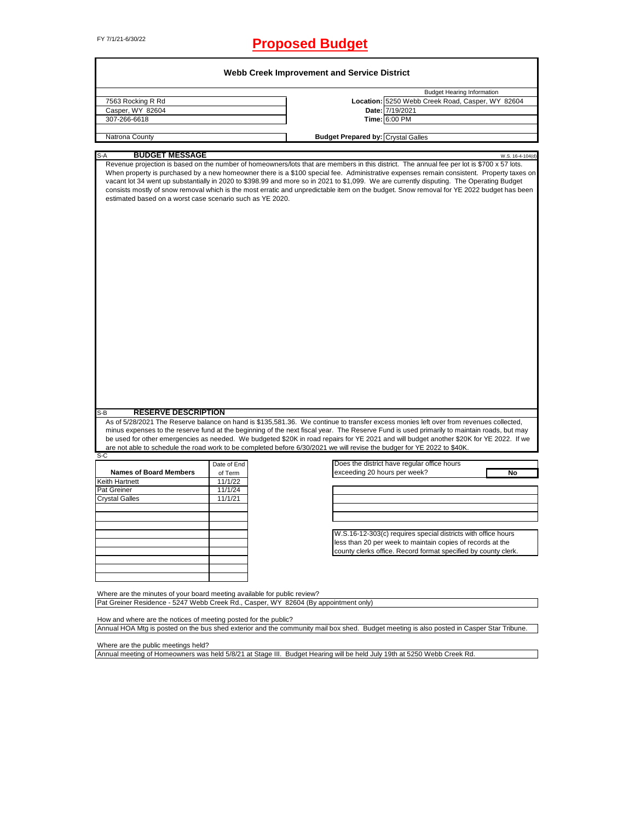# FY 7/1/21-6/30/22 **Proposed Budget**

| 7563 Rocking R Rd                                                      |                    | <b>Budget Hearing Information</b>                                                                                                                                                                                                                                                                                                                                                                                                                                                                                                                                              |
|------------------------------------------------------------------------|--------------------|--------------------------------------------------------------------------------------------------------------------------------------------------------------------------------------------------------------------------------------------------------------------------------------------------------------------------------------------------------------------------------------------------------------------------------------------------------------------------------------------------------------------------------------------------------------------------------|
|                                                                        |                    | Location: 5250 Webb Creek Road, Casper, WY 82604                                                                                                                                                                                                                                                                                                                                                                                                                                                                                                                               |
| Casper, WY 82604                                                       |                    | Date: 7/19/2021                                                                                                                                                                                                                                                                                                                                                                                                                                                                                                                                                                |
| 307-266-6618                                                           |                    | Time: 6:00 PM                                                                                                                                                                                                                                                                                                                                                                                                                                                                                                                                                                  |
|                                                                        |                    |                                                                                                                                                                                                                                                                                                                                                                                                                                                                                                                                                                                |
| Natrona County                                                         |                    | <b>Budget Prepared by: Crystal Galles</b>                                                                                                                                                                                                                                                                                                                                                                                                                                                                                                                                      |
| <b>BUDGET MESSAGE</b><br>S-A                                           |                    | W.S. 16-4-104(d)                                                                                                                                                                                                                                                                                                                                                                                                                                                                                                                                                               |
| estimated based on a worst case scenario such as YE 2020.              |                    | Revenue projection is based on the number of homeowners/lots that are members in this district. The annual fee per lot is \$700 x 57 lots.<br>When property is purchased by a new homeowner there is a \$100 special fee. Administrative expenses remain consistent. Property taxes on<br>vacant lot 34 went up substantially in 2020 to \$398.99 and more so in 2021 to \$1,099. We are currently disputing. The Operating Budget<br>consists mostly of snow removal which is the most erratic and unpredictable item on the budget. Snow removal for YE 2022 budget has been |
|                                                                        |                    |                                                                                                                                                                                                                                                                                                                                                                                                                                                                                                                                                                                |
|                                                                        |                    |                                                                                                                                                                                                                                                                                                                                                                                                                                                                                                                                                                                |
| <b>RESERVE DESCRIPTION</b>                                             |                    |                                                                                                                                                                                                                                                                                                                                                                                                                                                                                                                                                                                |
|                                                                        |                    | As of 5/28/2021 The Reserve balance on hand is \$135,581.36. We continue to transfer excess monies left over from revenues collected,<br>minus expenses to the reserve fund at the beginning of the next fiscal year. The Reserve Fund is used primarily to maintain roads, but may<br>be used for other emergencies as needed. We budgeted \$20K in road repairs for YE 2021 and will budget another \$20K for YE 2022. If we<br>are not able to schedule the road work to be completed before 6/30/2021 we will revise the budger for YE 2022 to \$40K.                      |
|                                                                        |                    |                                                                                                                                                                                                                                                                                                                                                                                                                                                                                                                                                                                |
|                                                                        | Date of End        | Does the district have regular office hours                                                                                                                                                                                                                                                                                                                                                                                                                                                                                                                                    |
| <b>Names of Board Members</b>                                          | of Term            | exceeding 20 hours per week?<br>No                                                                                                                                                                                                                                                                                                                                                                                                                                                                                                                                             |
|                                                                        | 11/1/22            |                                                                                                                                                                                                                                                                                                                                                                                                                                                                                                                                                                                |
|                                                                        | 11/1/24<br>11/1/21 |                                                                                                                                                                                                                                                                                                                                                                                                                                                                                                                                                                                |
|                                                                        |                    |                                                                                                                                                                                                                                                                                                                                                                                                                                                                                                                                                                                |
|                                                                        |                    |                                                                                                                                                                                                                                                                                                                                                                                                                                                                                                                                                                                |
|                                                                        |                    |                                                                                                                                                                                                                                                                                                                                                                                                                                                                                                                                                                                |
|                                                                        |                    | W.S.16-12-303(c) requires special districts with office hours                                                                                                                                                                                                                                                                                                                                                                                                                                                                                                                  |
|                                                                        |                    | less than 20 per week to maintain copies of records at the                                                                                                                                                                                                                                                                                                                                                                                                                                                                                                                     |
| $S-B$<br>S-C<br>Keith Hartnett<br>Pat Greiner<br><b>Crystal Galles</b> |                    | county clerks office. Record format specified by county clerk.                                                                                                                                                                                                                                                                                                                                                                                                                                                                                                                 |
|                                                                        |                    |                                                                                                                                                                                                                                                                                                                                                                                                                                                                                                                                                                                |
|                                                                        |                    |                                                                                                                                                                                                                                                                                                                                                                                                                                                                                                                                                                                |
|                                                                        |                    |                                                                                                                                                                                                                                                                                                                                                                                                                                                                                                                                                                                |

How and where are the notices of meeting posted for the public? Annual HOA Mtg is posted on the bus shed exterior and the community mail box shed. Budget meeting is also posted in Casper Star Tribune.

Where are the public meetings held?

Annual meeting of Homeowners was held 5/8/21 at Stage III. Budget Hearing will be held July 19th at 5250 Webb Creek Rd.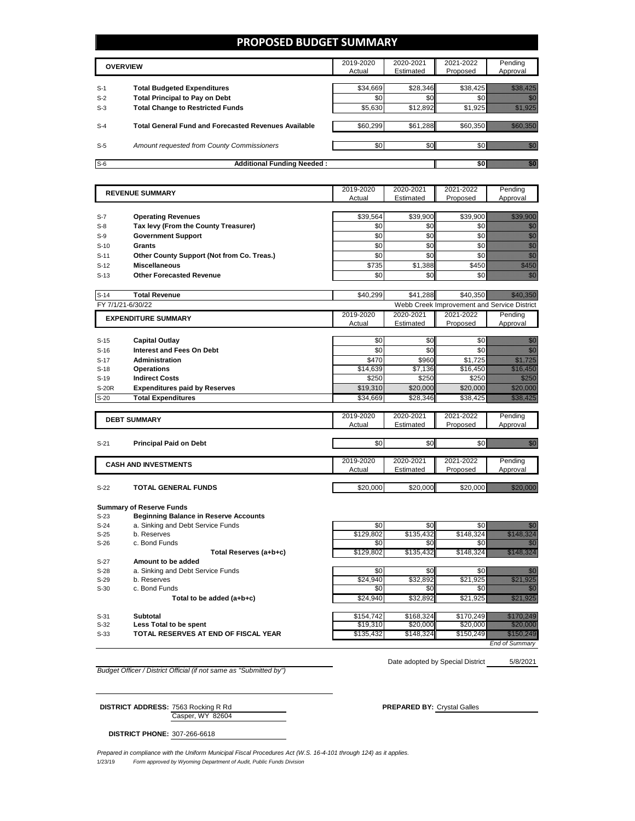### **PROPOSED BUDGET SUMMARY**

|       | <b>OVERVIEW</b>                                             | 2019-2020<br>Actual | 2020-2021<br>Estimated | 2021-2022<br>Proposed | Pending<br>Approval |
|-------|-------------------------------------------------------------|---------------------|------------------------|-----------------------|---------------------|
| $S-1$ | <b>Total Budgeted Expenditures</b>                          | \$34,669            | \$28,346               |                       |                     |
| $S-2$ | <b>Total Principal to Pay on Debt</b>                       | \$0                 | \$0                    |                       |                     |
| $S-3$ | <b>Total Change to Restricted Funds</b>                     | \$5,630             | \$12,892               | \$1.925               |                     |
| $S-4$ | <b>Total General Fund and Forecasted Revenues Available</b> | \$60,299            | \$61,288               | \$60.350              |                     |
| $S-5$ | Amount requested from County Commissioners                  | \$0                 | \$0                    |                       |                     |
| $S-6$ | <b>Additional Funding Needed:</b>                           |                     |                        |                       |                     |

|              | <b>REVENUE SUMMARY</b>                       | 2019-2020 | 2020-2021                    | 2021-2022                                   | Pending                                                                                                                                                                                                                                                |
|--------------|----------------------------------------------|-----------|------------------------------|---------------------------------------------|--------------------------------------------------------------------------------------------------------------------------------------------------------------------------------------------------------------------------------------------------------|
|              |                                              | Actual    | Estimated                    | Proposed                                    | Approval                                                                                                                                                                                                                                               |
|              |                                              |           |                              |                                             |                                                                                                                                                                                                                                                        |
| $S-7$        | <b>Operating Revenues</b>                    | \$39,564  | \$39,900                     | \$39,900                                    | <u> Hillings (</u>                                                                                                                                                                                                                                     |
| $S-8$        | Tax levy (From the County Treasurer)         | \$0       | \$0                          | \$0                                         | e de la familia de la familia de la familia de la familia de la familia de la familia de la familia de la fami<br>Espainia                                                                                                                             |
| $S-9$        | <b>Government Support</b>                    | \$0       | \$0                          | \$0                                         |                                                                                                                                                                                                                                                        |
| $S-10$       | <b>Grants</b>                                | \$0       | \$0                          | \$0                                         | e de la construcción de la construcción de la construcción de la construcción de la construcción de la constru                                                                                                                                         |
| $S-11$       | Other County Support (Not from Co. Treas.)   | \$0       | \$0                          | \$0                                         |                                                                                                                                                                                                                                                        |
| $S-12$       | <b>Miscellaneous</b>                         | \$735     | \$1,388                      | \$450                                       | an dhe                                                                                                                                                                                                                                                 |
| $S-13$       | <b>Other Forecasted Revenue</b>              | \$0       | \$0                          | \$0                                         | ga ka                                                                                                                                                                                                                                                  |
|              |                                              |           |                              |                                             |                                                                                                                                                                                                                                                        |
| $S-14$       | <b>Total Revenue</b>                         | \$40,299  | \$41,288                     | \$40,350                                    | <u> Karl The Ch</u>                                                                                                                                                                                                                                    |
|              | FY 7/1/21-6/30/22                            |           |                              | Webb Creek Improvement and Service District |                                                                                                                                                                                                                                                        |
|              | <b>EXPENDITURE SUMMARY</b>                   | 2019-2020 | 2020-2021                    | 2021-2022                                   | Pending                                                                                                                                                                                                                                                |
|              |                                              | Actual    | Estimated                    | Proposed                                    | Approval                                                                                                                                                                                                                                               |
|              |                                              |           |                              |                                             |                                                                                                                                                                                                                                                        |
| $S-15$       | <b>Capital Outlay</b>                        | \$0       | \$0                          | \$0                                         | an dhe                                                                                                                                                                                                                                                 |
| $S-16$       | <b>Interest and Fees On Debt</b>             | \$0       | \$0                          | \$0                                         | en de la filosofia<br>Maria                                                                                                                                                                                                                            |
| $S-17$       | <b>Administration</b>                        | \$470     | \$960                        | \$1,725                                     | <u> Karlin Mariji (</u>                                                                                                                                                                                                                                |
| $S-18$       | <b>Operations</b><br><b>Indirect Costs</b>   | \$14,639  | $\overline{$}7,136$<br>\$250 | \$16,450                                    | <u>i Mariji ya K</u><br>e al Calendario de Santo Calendario de Santo Calendario de Santo Calendario de Santo Calendario de Santo Cale<br>1970: Segundario de Santo Calendario de Santo Calendario de Santo Calendario de Santo Calendario de Santo Cal |
| $S-19$       |                                              | \$250     |                              | \$250                                       | <u> Hillian Sa</u>                                                                                                                                                                                                                                     |
| <b>S-20R</b> | <b>Expenditures paid by Reserves</b>         | \$19,310  | \$20,000                     | \$20,000                                    |                                                                                                                                                                                                                                                        |
| $S-20$       | <b>Total Expenditures</b>                    | \$34,669  | \$28,346                     | \$38,425                                    | <u>Marajevi</u>                                                                                                                                                                                                                                        |
|              |                                              | 2019-2020 | 2020-2021                    | 2021-2022                                   | Pending                                                                                                                                                                                                                                                |
|              | <b>DEBT SUMMARY</b>                          | Actual    | Estimated                    | Proposed                                    | Approval                                                                                                                                                                                                                                               |
|              |                                              |           |                              |                                             |                                                                                                                                                                                                                                                        |
| $S-21$       | <b>Principal Paid on Debt</b>                | \$0       | \$0                          | \$0                                         | en de la familie de la familie de la familie de la familie de la familie de la familie de la familie de la fa<br>Constitution de la familie de la familie de la familie de la familie de la familie de la familie de la familie                        |
|              |                                              |           |                              |                                             |                                                                                                                                                                                                                                                        |
|              | <b>CASH AND INVESTMENTS</b>                  | 2019-2020 | 2020-2021                    | 2021-2022                                   | Pending                                                                                                                                                                                                                                                |
|              |                                              | Actual    | Estimated                    | Proposed                                    | Approval                                                                                                                                                                                                                                               |
|              |                                              |           |                              |                                             |                                                                                                                                                                                                                                                        |
| $S-22$       | <b>TOTAL GENERAL FUNDS</b>                   | \$20,000  | \$20,000                     | \$20,000                                    | <u> Maria Sant</u>                                                                                                                                                                                                                                     |
|              |                                              |           |                              |                                             |                                                                                                                                                                                                                                                        |
|              | <b>Summary of Reserve Funds</b>              |           |                              |                                             |                                                                                                                                                                                                                                                        |
| $S-23$       | <b>Beginning Balance in Reserve Accounts</b> | \$∩l      | ¢Ω                           |                                             | \$0 <i>WWW.WWW.WWW</i><br>Millella                                                                                                                                                                                                                     |
| $C_2A$       | a. Sinking and Debt Service Funds            |           |                              |                                             |                                                                                                                                                                                                                                                        |

| $S-23$ | <b>Beginning Balance in Reserve Accounts</b> |           |           |           |  |
|--------|----------------------------------------------|-----------|-----------|-----------|--|
| $S-24$ | a. Sinking and Debt Service Funds            | \$0       | \$0       |           |  |
| $S-25$ | b. Reserves                                  | \$129,802 | \$135.432 | \$148.324 |  |
| $S-26$ | c. Bond Funds                                | \$0       | SO.       |           |  |
|        | Total Reserves (a+b+c)                       | \$129,802 | \$135,432 | \$148.324 |  |
| $S-27$ | Amount to be added                           |           |           |           |  |
| $S-28$ | a. Sinking and Debt Service Funds            | \$0       | \$0       |           |  |
| $S-29$ | b. Reserves                                  | \$24.940  | \$32.892  | \$21.925  |  |
| $S-30$ | c. Bond Funds                                | \$0       | SO.       |           |  |
|        | Total to be added (a+b+c)                    | \$24,940  | \$32,892  | \$21,925  |  |
| $S-31$ | Subtotal                                     | \$154.742 | \$168.324 | \$170.249 |  |
| $S-32$ | Less Total to be spent                       | \$19,310  | \$20,000  | \$20,000  |  |
| $S-33$ | TOTAL RESERVES AT END OF FISCAL YEAR         | \$135,432 | \$148.324 | \$150,249 |  |

*End of Summary*

*Budget Officer / District Official (if not same as "Submitted by")*

5/8/2021 Date adopted by Special District

Casper, WY 82604 **DISTRICT ADDRESS:** 7563 Rocking R Rd **PREPARED BY:** Crystal Galles

**DISTRICT PHONE:** 307-266-6618

*Prepared in compliance with the Uniform Municipal Fiscal Procedures Act (W.S. 16-4-101 through 124) as it applies.*

1/23/19 *Form approved by Wyoming Department of Audit, Public Funds Division*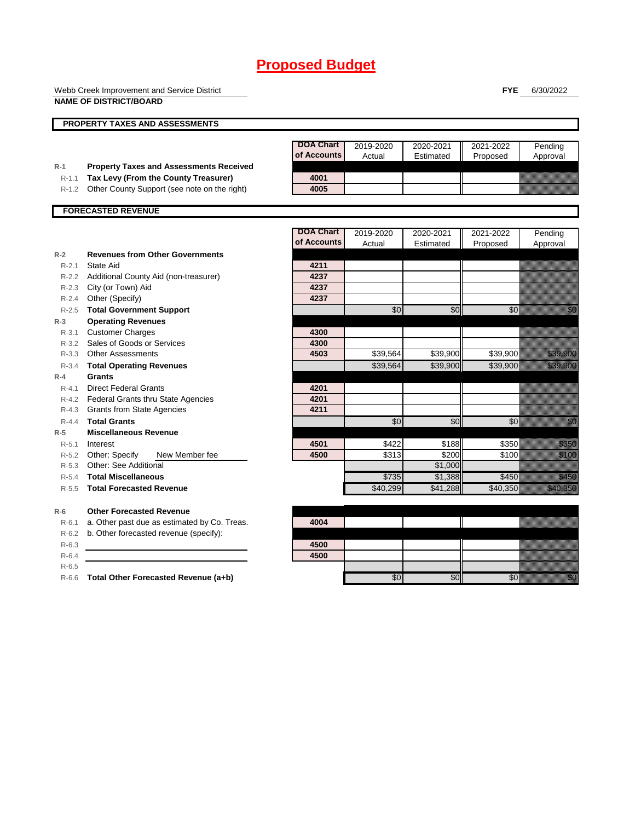Webb Creek Improvement and Service District **NAME OF DISTRICT/BOARD**

**FYE** 6/30/2022

|           | PROPERTY TAXES AND ASSESSMENTS                 |                  |           |           |           |                                                                                                                                                                                                                                 |
|-----------|------------------------------------------------|------------------|-----------|-----------|-----------|---------------------------------------------------------------------------------------------------------------------------------------------------------------------------------------------------------------------------------|
|           |                                                |                  |           |           |           |                                                                                                                                                                                                                                 |
|           |                                                | <b>DOA Chart</b> | 2019-2020 | 2020-2021 | 2021-2022 | Pending                                                                                                                                                                                                                         |
|           |                                                | of Accounts      | Actual    | Estimated | Proposed  | Approval                                                                                                                                                                                                                        |
| $R-1$     | <b>Property Taxes and Assessments Received</b> |                  |           |           |           |                                                                                                                                                                                                                                 |
| $R-1.1$   | Tax Levy (From the County Treasurer)           | 4001             |           |           |           |                                                                                                                                                                                                                                 |
| $R-1.2$   | Other County Support (see note on the right)   | 4005             |           |           |           |                                                                                                                                                                                                                                 |
|           | <b>FORECASTED REVENUE</b>                      |                  |           |           |           |                                                                                                                                                                                                                                 |
|           |                                                | <b>DOA Chart</b> | 2019-2020 | 2020-2021 | 2021-2022 | Pending                                                                                                                                                                                                                         |
|           |                                                | of Accounts      | Actual    | Estimated | Proposed  | Approval                                                                                                                                                                                                                        |
| $R-2$     | <b>Revenues from Other Governments</b>         |                  |           |           |           |                                                                                                                                                                                                                                 |
| $R - 2.1$ | State Aid                                      | 4211             |           |           |           |                                                                                                                                                                                                                                 |
| $R - 2.2$ | Additional County Aid (non-treasurer)          | 4237             |           |           |           |                                                                                                                                                                                                                                 |
|           | R-2.3 City (or Town) Aid                       | 4237             |           |           |           |                                                                                                                                                                                                                                 |
|           | R-2.4 Other (Specify)                          | 4237             |           |           |           |                                                                                                                                                                                                                                 |
| $R-2.5$   | <b>Total Government Support</b>                |                  | \$0       | \$0       | \$0       | en de la filo<br>Marco                                                                                                                                                                                                          |
| $R-3$     | <b>Operating Revenues</b>                      |                  |           |           |           |                                                                                                                                                                                                                                 |
| $R - 3.1$ | <b>Customer Charges</b>                        | 4300             |           |           |           |                                                                                                                                                                                                                                 |
| $R - 3.2$ | Sales of Goods or Services                     | 4300             |           |           |           |                                                                                                                                                                                                                                 |
| $R - 3.3$ | <b>Other Assessments</b>                       | 4503             | \$39,564  | \$39,900  | \$39,900  | <u> Harristo Sta</u>                                                                                                                                                                                                            |
| $R - 3.4$ | <b>Total Operating Revenues</b>                |                  | \$39,564  | \$39,900  | \$39,900  | <u>tion and the contract of the contract of the contract of the contract of the contract of the contract of the c</u>                                                                                                           |
| $R-4$     | <b>Grants</b>                                  |                  |           |           |           |                                                                                                                                                                                                                                 |
| $R - 4.1$ | <b>Direct Federal Grants</b>                   | 4201             |           |           |           |                                                                                                                                                                                                                                 |
|           | R-4.2 Federal Grants thru State Agencies       | 4201             |           |           |           |                                                                                                                                                                                                                                 |
| $R-4.3$   | <b>Grants from State Agencies</b>              | 4211             |           |           |           |                                                                                                                                                                                                                                 |
| $R - 4.4$ | <b>Total Grants</b>                            |                  | \$0       | \$0       | \$0       | en de la familie de la familie de la familie de la familie de la familie de la familie de la familie de la fa<br>Constitution de la familie de la familie de la familie de la familie de la familie de la familie de la familie |
| $R-5$     | <b>Miscellaneous Revenue</b>                   |                  |           |           |           |                                                                                                                                                                                                                                 |
| $R - 5.1$ | Interest                                       | 4501             | \$422     | \$188     | \$350     | <u>ting ang pagkalang ang pagkalang ang pagkalang ang pagkalang ang pagkalang ang pagkalang ang pagkalang ang pa</u>                                                                                                            |
|           | R-5.2 Other: Specify<br>New Member fee         | 4500             | \$313     | \$200     | \$100     | <u>ti ka</u>                                                                                                                                                                                                                    |
| $R - 5.3$ | Other: See Additional                          |                  |           | \$1,000   |           |                                                                                                                                                                                                                                 |
| $R - 5.4$ | <b>Total Miscellaneous</b>                     |                  | \$735     | \$1,388   | \$450     | <u>e komun</u>                                                                                                                                                                                                                  |
| $R - 5.5$ | <b>Total Forecasted Revenue</b>                |                  | \$40.299  | \$41.288  | \$40,350  | <u>e de la componenta</u>                                                                                                                                                                                                       |
| $R-6$     | <b>Other Forecasted Revenue</b>                |                  |           |           |           |                                                                                                                                                                                                                                 |
| $R-6.1$   | a. Other past due as estimated by Co. Treas.   | 4004             |           |           |           |                                                                                                                                                                                                                                 |
| $R-6.2$   | b. Other forecasted revenue (specify):         |                  |           |           |           |                                                                                                                                                                                                                                 |
| $R-6.3$   |                                                | 4500             |           |           |           |                                                                                                                                                                                                                                 |
| $R-6.4$   |                                                | 4500             |           |           |           |                                                                                                                                                                                                                                 |

R-6.5

R-6.6 **Total Other Forecasted Revenue (a+b)** \$0 \$0 \$0 \$0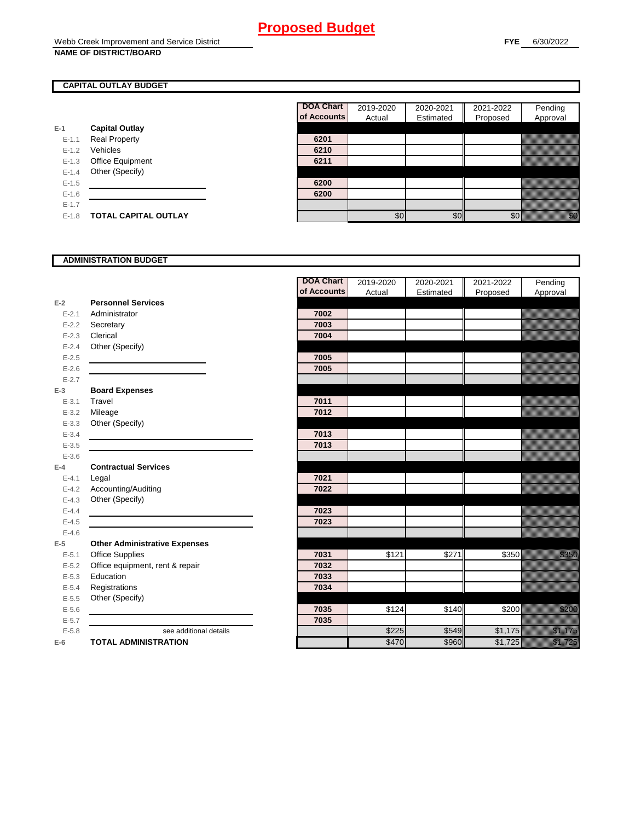### **CAPITAL OUTLAY BUDGET**

|           |                       | UI ACCOL |
|-----------|-----------------------|----------|
| E-1       | <b>Capital Outlay</b> |          |
| $E - 1.1$ | <b>Real Property</b>  | 6201     |
| $E - 1.2$ | Vehicles              | 6210     |
| $E-1.3$   | Office Equipment      | 6211     |
| $E - 1.4$ | Other (Specify)       |          |
| $E - 1.5$ |                       | 6200     |
| $E-1.6$   |                       | 6200     |
| $E - 1.7$ |                       |          |
| $E-1.8$   | TOTAL CAPITAL OUTLAY  |          |

| DOA Chart   | 2019-2020 | 2020-2021 | 2021-2022 | Pending  |
|-------------|-----------|-----------|-----------|----------|
| of Accounts | Actual    | Estimated | Proposed  | Approval |
|             |           |           |           |          |
| 6201        |           |           |           |          |
| 6210        |           |           |           |          |
| 6211        |           |           |           |          |
|             |           |           |           |          |
| 6200        |           |           |           |          |
| 6200        |           |           |           |          |
|             |           |           |           |          |
|             |           |           |           |          |

### **ADMINISTRATION BUDGET**

|           |                                      | <b>DOA Chart</b> | 2019-2020 | 2020-2021 | 2021-2022 | Pending                                                                                                                                                                                                                        |
|-----------|--------------------------------------|------------------|-----------|-----------|-----------|--------------------------------------------------------------------------------------------------------------------------------------------------------------------------------------------------------------------------------|
|           |                                      | of Accounts      | Actual    | Estimated | Proposed  | Approval                                                                                                                                                                                                                       |
| $E-2$     | <b>Personnel Services</b>            |                  |           |           |           |                                                                                                                                                                                                                                |
| $E - 2.1$ | Administrator                        | 7002             |           |           |           |                                                                                                                                                                                                                                |
| $E - 2.2$ | Secretary                            | 7003             |           |           |           |                                                                                                                                                                                                                                |
| $E - 2.3$ | Clerical                             | 7004             |           |           |           |                                                                                                                                                                                                                                |
| $E - 2.4$ | Other (Specify)                      |                  |           |           |           |                                                                                                                                                                                                                                |
| $E - 2.5$ |                                      | 7005             |           |           |           |                                                                                                                                                                                                                                |
| $E-2.6$   |                                      | 7005             |           |           |           |                                                                                                                                                                                                                                |
| $E - 2.7$ |                                      |                  |           |           |           |                                                                                                                                                                                                                                |
| $E-3$     | <b>Board Expenses</b>                |                  |           |           |           |                                                                                                                                                                                                                                |
| $E - 3.1$ | Travel                               | 7011             |           |           |           |                                                                                                                                                                                                                                |
| $E - 3.2$ | Mileage                              | 7012             |           |           |           |                                                                                                                                                                                                                                |
| $E - 3.3$ | Other (Specify)                      |                  |           |           |           |                                                                                                                                                                                                                                |
| $E - 3.4$ |                                      | 7013             |           |           |           |                                                                                                                                                                                                                                |
| $E - 3.5$ |                                      | 7013             |           |           |           |                                                                                                                                                                                                                                |
| $E - 3.6$ |                                      |                  |           |           |           |                                                                                                                                                                                                                                |
| $E-4$     | <b>Contractual Services</b>          |                  |           |           |           |                                                                                                                                                                                                                                |
| $E - 4.1$ | Legal                                | 7021             |           |           |           |                                                                                                                                                                                                                                |
| $E - 4.2$ | Accounting/Auditing                  | 7022             |           |           |           |                                                                                                                                                                                                                                |
| $E - 4.3$ | Other (Specify)                      |                  |           |           |           |                                                                                                                                                                                                                                |
| $E-4.4$   |                                      | 7023             |           |           |           |                                                                                                                                                                                                                                |
| $E-4.5$   |                                      | 7023             |           |           |           |                                                                                                                                                                                                                                |
| $E-4.6$   |                                      |                  |           |           |           |                                                                                                                                                                                                                                |
| $E-5$     | <b>Other Administrative Expenses</b> |                  |           |           |           |                                                                                                                                                                                                                                |
| $E - 5.1$ | <b>Office Supplies</b>               | 7031             | \$121     | \$271     | \$350     | <u>tionalist p</u>                                                                                                                                                                                                             |
| $E - 5.2$ | Office equipment, rent & repair      | 7032             |           |           |           |                                                                                                                                                                                                                                |
| $E-5.3$   | Education                            | 7033             |           |           |           |                                                                                                                                                                                                                                |
| $E - 5.4$ | Registrations                        | 7034             |           |           |           |                                                                                                                                                                                                                                |
| $E-5.5$   | Other (Specify)                      |                  |           |           |           |                                                                                                                                                                                                                                |
| $E - 5.6$ |                                      | 7035             | \$124     | \$140     | \$200     | a a an t-Òirean                                                                                                                                                                                                                |
| $E - 5.7$ |                                      | 7035             |           |           |           |                                                                                                                                                                                                                                |
| $E - 5.8$ | see additional details               |                  | \$225     | \$549     | \$1,175   | <u>i ka</u>                                                                                                                                                                                                                    |
| $E-6$     | <b>TOTAL ADMINISTRATION</b>          |                  | \$470     | \$960     | \$1,725   | e de la composición de la composición de la composición de la composición de la composición de la composición<br>A la composición de la composición de la composición de la composición de la composición de la composición de |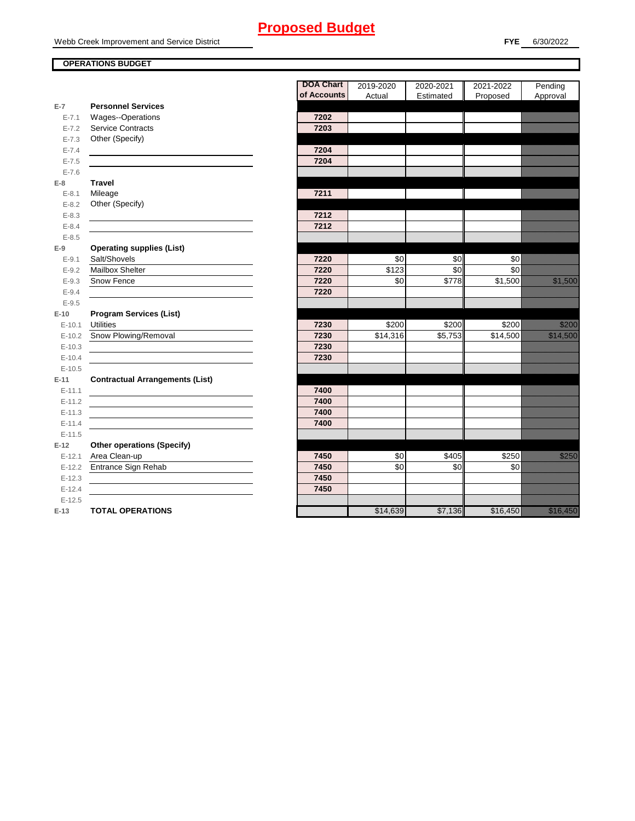### **OPERATIONS BUDGET**

**E-7**

**E-8 Travel**

**E-9**

**E-10**

**E-11 Contractual Arrangements (List)** 

**E-12** 

|           |                                        | <b>DOA Chart</b><br>of Accounts | 2019-2020<br>Actual | 2020-2021<br>Estimated | 2021-2022 | Pending<br>Approval                                                                                                                                                                                                              |
|-----------|----------------------------------------|---------------------------------|---------------------|------------------------|-----------|----------------------------------------------------------------------------------------------------------------------------------------------------------------------------------------------------------------------------------|
| $E-7$     | <b>Personnel Services</b>              |                                 |                     |                        | Proposed  |                                                                                                                                                                                                                                  |
| $E - 7.1$ | Wages--Operations                      | 7202                            |                     |                        |           |                                                                                                                                                                                                                                  |
| $E - 7.2$ | Service Contracts                      | 7203                            |                     |                        |           |                                                                                                                                                                                                                                  |
| $E - 7.3$ | Other (Specify)                        |                                 |                     |                        |           |                                                                                                                                                                                                                                  |
| $E - 7.4$ |                                        | 7204                            |                     |                        |           |                                                                                                                                                                                                                                  |
| $E - 7.5$ |                                        | 7204                            |                     |                        |           |                                                                                                                                                                                                                                  |
| $E - 7.6$ |                                        |                                 |                     |                        |           |                                                                                                                                                                                                                                  |
| $E-8$     | <b>Travel</b>                          |                                 |                     |                        |           |                                                                                                                                                                                                                                  |
| $E - 8.1$ | Mileage                                | 7211                            |                     |                        |           |                                                                                                                                                                                                                                  |
| $E - 8.2$ | Other (Specify)                        |                                 |                     |                        |           |                                                                                                                                                                                                                                  |
| $E - 8.3$ |                                        | 7212                            |                     |                        |           |                                                                                                                                                                                                                                  |
| $E - 8.4$ |                                        | 7212                            |                     |                        |           |                                                                                                                                                                                                                                  |
| $E - 8.5$ |                                        |                                 |                     |                        |           |                                                                                                                                                                                                                                  |
| $E-9$     | <b>Operating supplies (List)</b>       |                                 |                     |                        |           |                                                                                                                                                                                                                                  |
| $E-9.1$   | Salt/Shovels                           | 7220                            | \$0                 | \$0                    | \$0       |                                                                                                                                                                                                                                  |
| $E - 9.2$ | Mailbox Shelter                        | 7220                            | \$123               | \$0                    | \$0       |                                                                                                                                                                                                                                  |
| $E - 9.3$ | Snow Fence                             | 7220                            | \$0                 | \$778                  | \$1,500   | <u>e dhe që për të përfshën për të përfshën për të përfshën për të përfshën për të përfshën për të përfshën për</u>                                                                                                              |
| $E - 9.4$ |                                        | 7220                            |                     |                        |           |                                                                                                                                                                                                                                  |
| $E - 9.5$ |                                        |                                 |                     |                        |           |                                                                                                                                                                                                                                  |
| $E-10$    | <b>Program Services (List)</b>         |                                 |                     |                        |           |                                                                                                                                                                                                                                  |
| $E-10.1$  | <b>Utilities</b>                       | 7230                            | \$200               | \$200                  | \$200     | <u>ti ka</u>                                                                                                                                                                                                                     |
| $E-10.2$  | Snow Plowing/Removal                   | 7230                            | \$14,316            | \$5,753                | \$14,500  | a sa an an t-ainm                                                                                                                                                                                                                |
| $E-10.3$  |                                        | 7230                            |                     |                        |           |                                                                                                                                                                                                                                  |
| $E-10.4$  |                                        | 7230                            |                     |                        |           |                                                                                                                                                                                                                                  |
| $E-10.5$  |                                        |                                 |                     |                        |           |                                                                                                                                                                                                                                  |
| $E-11$    | <b>Contractual Arrangements (List)</b> |                                 |                     |                        |           |                                                                                                                                                                                                                                  |
| $E-11.1$  |                                        | 7400                            |                     |                        |           |                                                                                                                                                                                                                                  |
| $E-11.2$  |                                        | 7400                            |                     |                        |           |                                                                                                                                                                                                                                  |
| $E-11.3$  |                                        | 7400                            |                     |                        |           |                                                                                                                                                                                                                                  |
| $E-11.4$  |                                        | 7400                            |                     |                        |           |                                                                                                                                                                                                                                  |
| $E-11.5$  |                                        |                                 |                     |                        |           |                                                                                                                                                                                                                                  |
| $E-12$    | <b>Other operations (Specify)</b>      |                                 |                     |                        |           |                                                                                                                                                                                                                                  |
| $E-12.1$  | Area Clean-up                          | 7450                            | \$0                 | \$405                  | \$250     | <u>ti ka</u>                                                                                                                                                                                                                     |
| $E-12.2$  | Entrance Sign Rehab                    | 7450                            | \$0                 | \$0                    | \$0       |                                                                                                                                                                                                                                  |
| $E-12.3$  |                                        | 7450                            |                     |                        |           |                                                                                                                                                                                                                                  |
| $E-12.4$  |                                        | 7450                            |                     |                        |           |                                                                                                                                                                                                                                  |
| $E-12.5$  |                                        |                                 |                     |                        |           |                                                                                                                                                                                                                                  |
| $E-13$    | <b>TOTAL OPERATIONS</b>                |                                 | \$14,639            | \$7,136                | \$16,450  | a katika katika katika katika katika katika katika katika katika katika katika katika katika katika katika kat<br>Katika katika katika katika katika katika katika katika katika katika katika katika katika katika katika katik |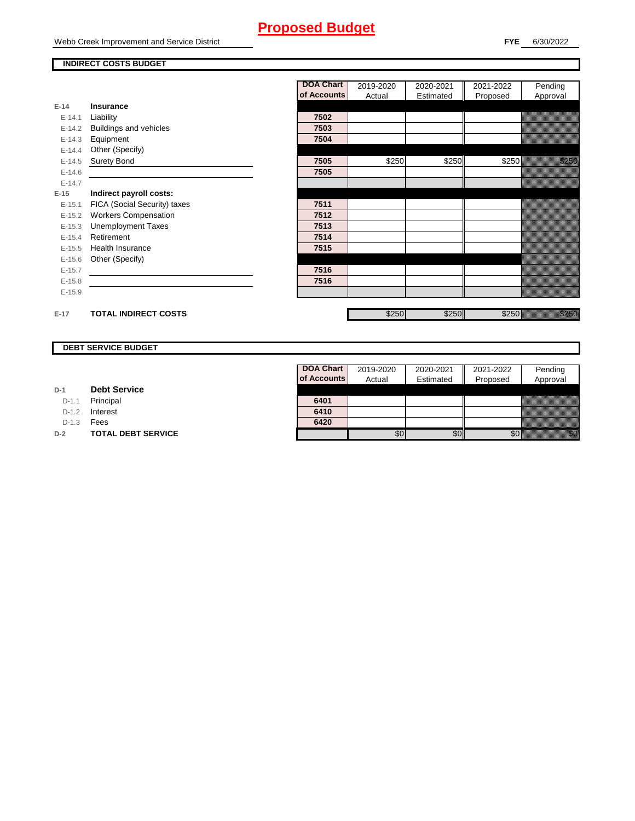Webb Creek Improvement and Service District

### **FYE** 6/30/2022

### **INDIRECT COSTS BUDGET**

|          |                               | <b>DOA Chart</b> | 2019-2020 | 2020-2021 | 2021-2022 | Pending                 |
|----------|-------------------------------|------------------|-----------|-----------|-----------|-------------------------|
|          |                               | of Accounts      | Actual    | Estimated | Proposed  | Approval                |
| $E-14$   | Insurance                     |                  |           |           |           |                         |
| $E-14.1$ | Liability                     | 7502             |           |           |           |                         |
| $E-14.2$ | <b>Buildings and vehicles</b> | 7503             |           |           |           |                         |
| $E-14.3$ | Equipment                     | 7504             |           |           |           |                         |
| $E-14.4$ | Other (Specify)               |                  |           |           |           |                         |
| $E-14.5$ | <b>Surety Bond</b>            | 7505             | \$250     | \$250     | \$250     | <u> Killing</u>         |
| $E-14.6$ |                               | 7505             |           |           |           |                         |
| $E-14.7$ |                               |                  |           |           |           |                         |
| $E-15$   | Indirect payroll costs:       |                  |           |           |           |                         |
| $E-15.1$ | FICA (Social Security) taxes  | 7511             |           |           |           |                         |
| $E-15.2$ | <b>Workers Compensation</b>   | 7512             |           |           |           |                         |
| $E-15.3$ | <b>Unemployment Taxes</b>     | 7513             |           |           |           |                         |
| $E-15.4$ | Retirement                    | 7514             |           |           |           |                         |
| $E-15.5$ | <b>Health Insurance</b>       | 7515             |           |           |           |                         |
| $E-15.6$ | Other (Specify)               |                  |           |           |           |                         |
| $E-15.7$ |                               | 7516             |           |           |           |                         |
| $E-15.8$ |                               | 7516             |           |           |           |                         |
| $E-15.9$ |                               |                  |           |           |           |                         |
| $E-17$   | <b>TOTAL INDIRECT COSTS</b>   |                  | \$250     | \$250     | \$250     | en eller<br>Mille Stadt |

### **DEBT SERVICE BUDGET**

D-1.1 **Principal** 

D-1.2 **Interest** 

D-1.3 **Fees** 

Г

**D-2 TOTAL DEBT SERVICE** 

| DOA Chart   | 2019-2020 | 2020-2021 | 2021-2022 | Pending  |
|-------------|-----------|-----------|-----------|----------|
| of Accounts | Actual    | Estimated | Proposed  | Approval |
|             |           |           |           |          |
| 6401        |           |           |           |          |
| 6410        |           |           |           |          |
| 6420        |           |           |           |          |
|             |           |           |           |          |